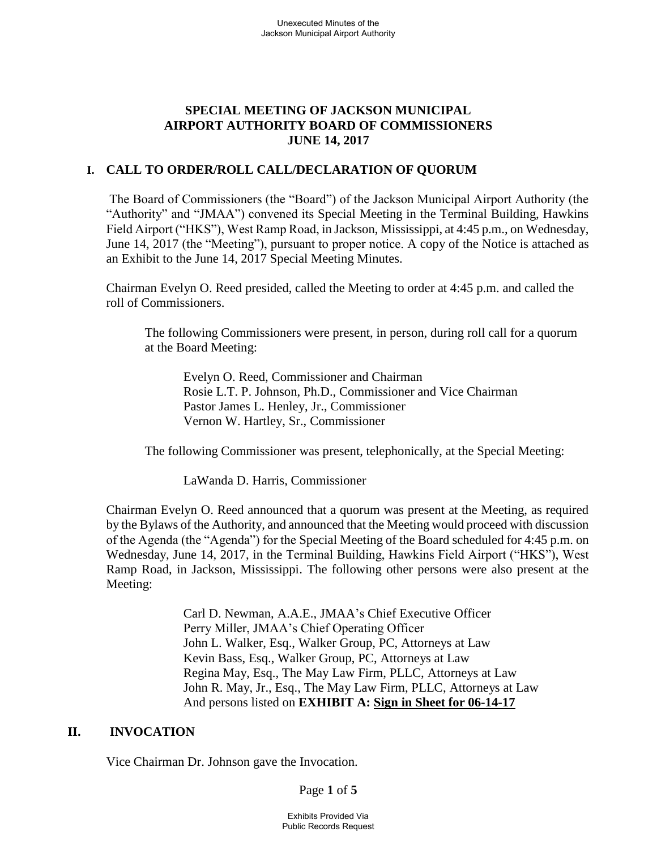## **SPECIAL MEETING OF JACKSON MUNICIPAL AIRPORT AUTHORITY BOARD OF COMMISSIONERS JUNE 14, 2017**

#### **I. CALL TO ORDER/ROLL CALL/DECLARATION OF QUORUM**

The Board of Commissioners (the "Board") of the Jackson Municipal Airport Authority (the "Authority" and "JMAA") convened its Special Meeting in the Terminal Building, Hawkins Field Airport ("HKS"), West Ramp Road, in Jackson, Mississippi, at 4:45 p.m., on Wednesday, June 14, 2017 (the "Meeting"), pursuant to proper notice. A copy of the Notice is attached as an Exhibit to the June 14, 2017 Special Meeting Minutes.

Chairman Evelyn O. Reed presided, called the Meeting to order at 4:45 p.m. and called the roll of Commissioners.

The following Commissioners were present, in person, during roll call for a quorum at the Board Meeting:

Evelyn O. Reed, Commissioner and Chairman Rosie L.T. P. Johnson, Ph.D., Commissioner and Vice Chairman Pastor James L. Henley, Jr., Commissioner Vernon W. Hartley, Sr., Commissioner

The following Commissioner was present, telephonically, at the Special Meeting:

LaWanda D. Harris, Commissioner

Chairman Evelyn O. Reed announced that a quorum was present at the Meeting, as required by the Bylaws of the Authority, and announced that the Meeting would proceed with discussion of the Agenda (the "Agenda") for the Special Meeting of the Board scheduled for 4:45 p.m. on Wednesday, June 14, 2017, in the Terminal Building, Hawkins Field Airport ("HKS"), West Ramp Road, in Jackson, Mississippi. The following other persons were also present at the Meeting:

> Carl D. Newman, A.A.E., JMAA's Chief Executive Officer Perry Miller, JMAA's Chief Operating Officer John L. Walker, Esq., Walker Group, PC, Attorneys at Law Kevin Bass, Esq., Walker Group, PC, Attorneys at Law Regina May, Esq., The May Law Firm, PLLC, Attorneys at Law John R. May, Jr., Esq., The May Law Firm, PLLC, Attorneys at Law And persons listed on **EXHIBIT A: Sign [in](file://///walker2008-1/netshare/Work/JMAA4324/BOARD%20MEETINGS/2016-09-22%20Board%20Meeting/Rescheduled%20Regular%20Board%20Meeting%20Sign%20in%20Sheet%20August%2029%202016.pdf) [Sheet](file://///walker2008-1/netshare/Work/JMAA4324/BOARD%20MEETINGS/2016-06-09%20Special%20Meeting/2017-MAR%2027-bmr.pdf) for 06-14-17**

#### **II. INVOCATION**

Vice Chairman Dr. Johnson gave the Invocation.

Page **1** of **5**

Exhibits Provided Via Public Records Request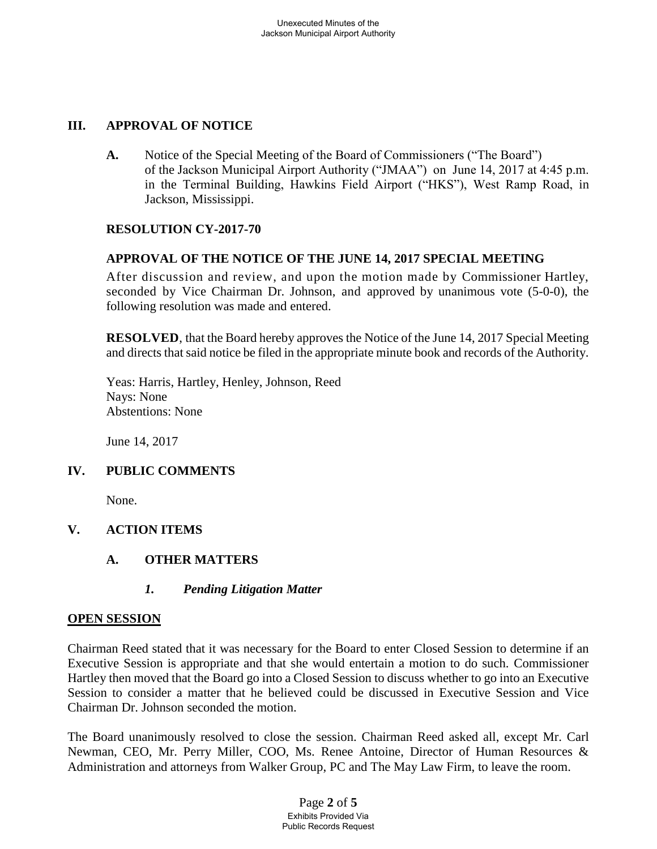# **III. APPROVAL OF NOTICE**

**A.** Notice of the Special Meeting of the Board of Commissioners ("The Board") of the Jackson Municipal Airport Authority ("JMAA") on June 14, 2017 at 4:45 p.m. in the Terminal Building, Hawkins Field Airport ("HKS"), West Ramp Road, in Jackson, Mississippi.

## **RESOLUTION CY-2017-70**

## **APPROVAL OF THE NOTICE OF THE JUNE 14, 2017 SPECIAL MEETING**

After discussion and review, and upon the motion made by Commissioner Hartley, seconded by Vice Chairman Dr. Johnson, and approved by unanimous vote (5-0-0), the following resolution was made and entered.

**RESOLVED**, that the Board hereby approves the Notice of the June 14, 2017 Special Meeting and directs that said notice be filed in the appropriate minute book and records of the Authority.

Yeas: Harris, Hartley, Henley, Johnson, Reed Nays: None Abstentions: None

June 14, 2017

## **IV. PUBLIC COMMENTS**

None.

# **V. ACTION ITEMS**

**A. OTHER MATTERS**

## *1. Pending Litigation Matter*

## **OPEN SESSION**

Chairman Reed stated that it was necessary for the Board to enter Closed Session to determine if an Executive Session is appropriate and that she would entertain a motion to do such. Commissioner Hartley then moved that the Board go into a Closed Session to discuss whether to go into an Executive Session to consider a matter that he believed could be discussed in Executive Session and Vice Chairman Dr. Johnson seconded the motion.

The Board unanimously resolved to close the session. Chairman Reed asked all, except Mr. Carl Newman, CEO, Mr. Perry Miller, COO, Ms. Renee Antoine, Director of Human Resources & Administration and attorneys from Walker Group, PC and The May Law Firm, to leave the room.

> Page **2** of **5** Exhibits Provided Via Public Records Request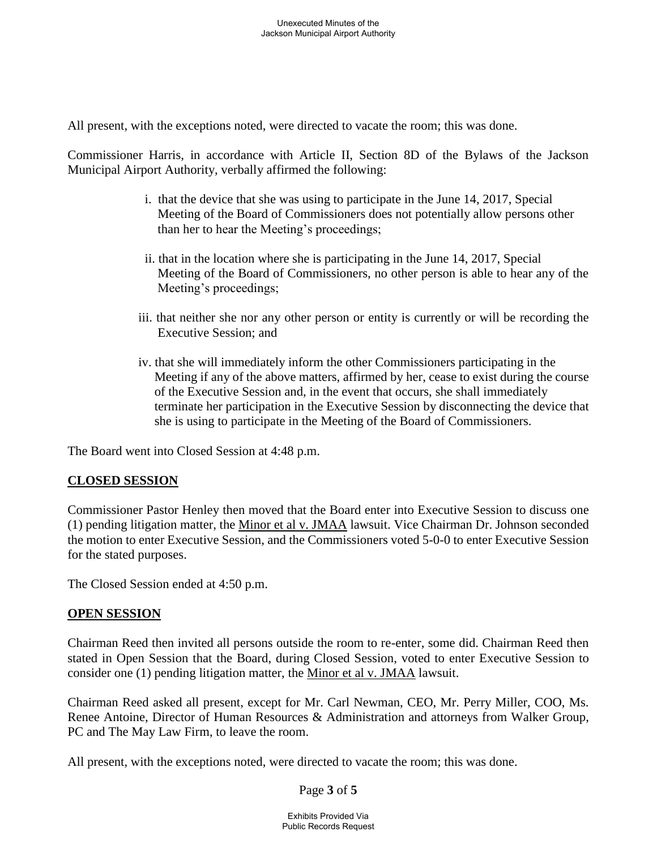All present, with the exceptions noted, were directed to vacate the room; this was done.

Commissioner Harris, in accordance with Article II, Section 8D of the Bylaws of the Jackson Municipal Airport Authority, verbally affirmed the following:

- i. that the device that she was using to participate in the June 14, 2017, Special Meeting of the Board of Commissioners does not potentially allow persons other than her to hear the Meeting's proceedings;
- ii. that in the location where she is participating in the June 14, 2017, Special Meeting of the Board of Commissioners, no other person is able to hear any of the Meeting's proceedings;
- iii. that neither she nor any other person or entity is currently or will be recording the Executive Session; and
- iv. that she will immediately inform the other Commissioners participating in the Meeting if any of the above matters, affirmed by her, cease to exist during the course of the Executive Session and, in the event that occurs, she shall immediately terminate her participation in the Executive Session by disconnecting the device that she is using to participate in the Meeting of the Board of Commissioners.

The Board went into Closed Session at 4:48 p.m.

## **CLOSED SESSION**

Commissioner Pastor Henley then moved that the Board enter into Executive Session to discuss one (1) pending litigation matter, the Minor et al v. JMAA lawsuit. Vice Chairman Dr. Johnson seconded the motion to enter Executive Session, and the Commissioners voted 5-0-0 to enter Executive Session for the stated purposes.

The Closed Session ended at 4:50 p.m.

## **OPEN SESSION**

Chairman Reed then invited all persons outside the room to re-enter, some did. Chairman Reed then stated in Open Session that the Board, during Closed Session, voted to enter Executive Session to consider one (1) pending litigation matter, the Minor et al v. JMAA lawsuit.

Chairman Reed asked all present, except for Mr. Carl Newman, CEO, Mr. Perry Miller, COO, Ms. Renee Antoine, Director of Human Resources & Administration and attorneys from Walker Group, PC and The May Law Firm, to leave the room.

All present, with the exceptions noted, were directed to vacate the room; this was done.

Page **3** of **5**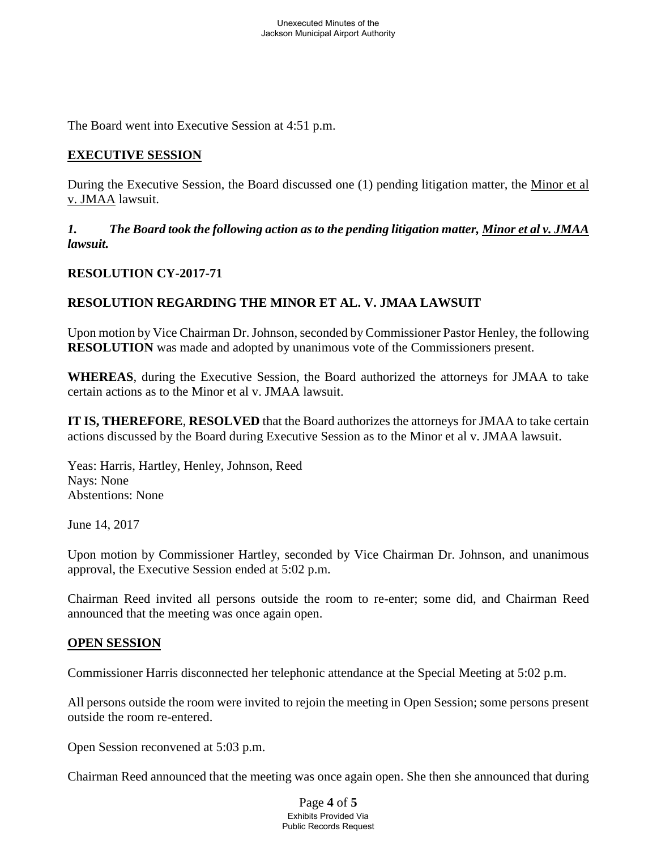The Board went into Executive Session at 4:51 p.m.

#### **EXECUTIVE SESSION**

During the Executive Session, the Board discussed one (1) pending litigation matter, the Minor et al v. JMAA lawsuit.

*1. The Board took the following action as to the pending litigation matter, Minor et al v. JMAA lawsuit.*

#### **RESOLUTION CY-2017-71**

## **RESOLUTION REGARDING THE MINOR ET AL. V. JMAA LAWSUIT**

Upon motion by Vice Chairman Dr. Johnson, seconded by Commissioner Pastor Henley, the following **RESOLUTION** was made and adopted by unanimous vote of the Commissioners present.

**WHEREAS**, during the Executive Session, the Board authorized the attorneys for JMAA to take certain actions as to the Minor et al v. JMAA lawsuit.

**IT IS, THEREFORE**, **RESOLVED** that the Board authorizes the attorneys for JMAA to take certain actions discussed by the Board during Executive Session as to the Minor et al v. JMAA lawsuit.

Yeas: Harris, Hartley, Henley, Johnson, Reed Nays: None Abstentions: None

June 14, 2017

Upon motion by Commissioner Hartley, seconded by Vice Chairman Dr. Johnson, and unanimous approval, the Executive Session ended at 5:02 p.m.

Chairman Reed invited all persons outside the room to re-enter; some did, and Chairman Reed announced that the meeting was once again open.

#### **OPEN SESSION**

Commissioner Harris disconnected her telephonic attendance at the Special Meeting at 5:02 p.m.

All persons outside the room were invited to rejoin the meeting in Open Session; some persons present outside the room re-entered.

Open Session reconvened at 5:03 p.m.

Chairman Reed announced that the meeting was once again open. She then she announced that during

Page **4** of **5** Exhibits Provided Via Public Records Request